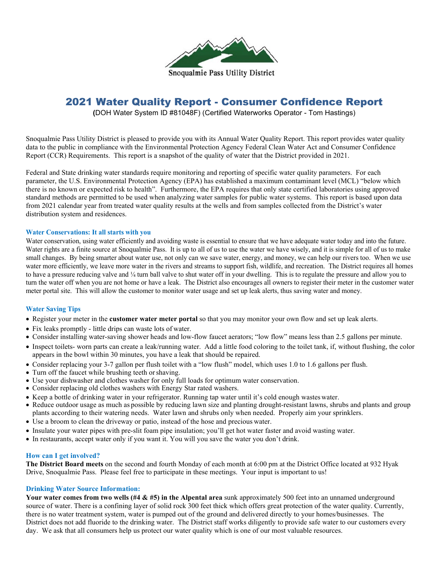

# 2021 Water Quality Report - Consumer Confidence Report

**(**DOH Water System ID #81048F) (Certified Waterworks Operator - Tom Hastings)

Snoqualmie Pass Utility District is pleased to provide you with its Annual Water Quality Report. This report provides water quality data to the public in compliance with the Environmental Protection Agency Federal Clean Water Act and Consumer Confidence Report (CCR) Requirements. This report is a snapshot of the quality of water that the District provided in 2021.

Federal and State drinking water standards require monitoring and reporting of specific water quality parameters. For each parameter, the U.S. Environmental Protection Agency (EPA) has established a maximum contaminant level (MCL) "below which there is no known or expected risk to health". Furthermore, the EPA requires that only state certified laboratories using approved standard methods are permitted to be used when analyzing water samples for public water systems. This report is based upon data from 2021 calendar year from treated water quality results at the wells and from samples collected from the District's water distribution system and residences.

## **Water Conservations: It all starts with you**

Water conservation, using water efficiently and avoiding waste is essential to ensure that we have adequate water today and into the future. Water rights are a finite source at Snoqualmie Pass. It is up to all of us to use the water we have wisely, and it is simple for all of us to make small changes. By being smarter about water use, not only can we save water, energy, and money, we can help our rivers too. When we use water more efficiently, we leave more water in the rivers and streams to support fish, wildlife, and recreation. The District requires all homes to have a pressure reducing valve and ¼ turn ball valve to shut water off in your dwelling. This is to regulate the pressure and allow you to turn the water off when you are not home or have a leak. The District also encourages all owners to register their meter in the customer water meter portal site. This will allow the customer to monitor water usage and set up leak alerts, thus saving water and money.

# **Water Saving Tips**

- Register your meter in the **customer water meter portal** so that you may monitor your own flow and set up leak alerts.
- Fix leaks promptly little drips can waste lots of water.
- Consider installing water-saving shower heads and low-flow faucet aerators; "low flow" means less than 2.5 gallons per minute.
- Inspect toilets- worn parts can create a leak/running water. Add a little food coloring to the toilet tank, if, without flushing, the color appears in the bowl within 30 minutes, you have a leak that should be repaired.
- Consider replacing your 3-7 gallon per flush toilet with a "low flush" model, which uses 1.0 to 1.6 gallons per flush.
- Turn off the faucet while brushing teeth orshaving.
- Use your dishwasher and clothes washer for only full loads for optimum water conservation.
- Consider replacing old clothes washers with Energy Star rated washers.
- Keep a bottle of drinking water in your refrigerator. Running tap water until it's cold enough wastes water.
- Reduce outdoor usage as much as possible by reducing lawn size and planting drought-resistant lawns, shrubs and plants and group plants according to their watering needs. Water lawn and shrubs only when needed. Properly aim your sprinklers.
- Use a broom to clean the driveway or patio, instead of the hose and precious water.
- Insulate your water pipes with pre-slit foam pipe insulation; you'll get hot water faster and avoid wasting water.
- In restaurants, accept water only if you want it. You will you save the water you don't drink.

## **How can I get involved?**

**The District Board meets** on the second and fourth Monday of each month at 6:00 pm at the District Office located at 932 Hyak Drive, Snoqualmie Pass. Please feel free to participate in these meetings. Your input is important to us!

## **Drinking Water Source Information:**

Your water comes from two wells (#4 & #5) in the Alpental area sunk approximately 500 feet into an unnamed underground source of water. There is a confining layer of solid rock 300 feet thick which offers great protection of the water quality. Currently, there is no water treatment system, water is pumped out of the ground and delivered directly to your homes/businesses. The District does not add fluoride to the drinking water. The District staff works diligently to provide safe water to our customers every day. We ask that all consumers help us protect our water quality which is one of our most valuable resources.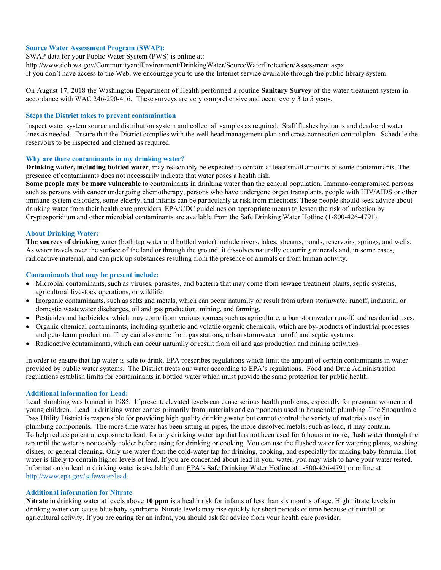# **Source Water Assessment Program (SWAP):**

SWAP data for your Public Water System (PWS) is online at:

http://www.doh.wa.gov/CommunityandEnvironment/DrinkingWater/SourceWaterProtection/Assessment.aspx

If you don't have access to the Web, we encourage you to use the Internet service available through the public library system.

On August 17, 2018 the Washington Department of Health performed a routine **Sanitary Survey** of the water treatment system in accordance with WAC 246-290-416. These surveys are very comprehensive and occur every 3 to 5 years.

#### **Steps the District takes to prevent contamination**

Inspect water system source and distribution system and collect all samples as required. Staff flushes hydrants and dead-end water lines as needed. Ensure that the District complies with the well head management plan and cross connection control plan. Schedule the reservoirs to be inspected and cleaned as required.

#### **Why are there contaminants in my drinking water?**

**Drinking water, including bottled water**, may reasonably be expected to contain at least small amounts of some contaminants. The presence of contaminants does not necessarily indicate that water poses a health risk.

**Some people may be more vulnerable** to contaminants in drinking water than the general population. Immuno-compromised persons such as persons with cancer undergoing chemotherapy, persons who have undergone organ transplants, people with HIV/AIDS or other immune system disorders, some elderly, and infants can be particularly at risk from infections. These people should seek advice about drinking water from their health care providers. EPA/CDC guidelines on appropriate means to lessen the risk of infection by Cryptosporidium and other microbial contaminants are available from the Safe Drinking Water Hotline (1-800-426-4791).

#### **About Drinking Water:**

**The sources of drinking** water (both tap water and bottled water) include rivers, lakes, streams, ponds, reservoirs, springs, and wells. As water travels over the surface of the land or through the ground, it dissolves naturally occurring minerals and, in some cases, radioactive material, and can pick up substances resulting from the presence of animals or from human activity.

#### **Contaminants that may be present include:**

- Microbial contaminants, such as viruses, parasites, and bacteria that may come from sewage treatment plants, septic systems, agricultural livestock operations, or wildlife.
- Inorganic contaminants, such as salts and metals, which can occur naturally or result from urban stormwater runoff, industrial or domestic wastewater discharges, oil and gas production, mining, and farming.
- Pesticides and herbicides, which may come from various sources such as agriculture, urban stormwater runoff, and residential uses.
- Organic chemical contaminants, including synthetic and volatile organic chemicals, which are by-products of industrial processes and petroleum production. They can also come from gas stations, urban stormwater runoff, and septic systems.
- Radioactive contaminants, which can occur naturally or result from oil and gas production and mining activities.

In order to ensure that tap water is safe to drink, EPA prescribes regulations which limit the amount of certain contaminants in water provided by public water systems. The District treats our water according to EPA's regulations. Food and Drug Administration regulations establish limits for contaminants in bottled water which must provide the same protection for public health.

## **Additional information for Lead:**

Lead plumbing was banned in 1985. If present, elevated levels can cause serious health problems, especially for pregnant women and young children. Lead in drinking water comes primarily from materials and components used in household plumbing. The Snoqualmie Pass Utility District is responsible for providing high quality drinking water but cannot control the variety of materials used in plumbing components. The more time water has been sitting in pipes, the more dissolved metals, such as lead, it may contain. To help reduce potential exposure to lead: for any drinking water tap that has not been used for 6 hours or more, flush water through the tap until the water is noticeably colder before using for drinking or cooking. You can use the flushed water for watering plants, washing dishes, or general cleaning. Only use water from the cold-water tap for drinking, cooking, and especially for making baby formula. Hot water is likely to contain higher levels of lead. If you are concerned about lead in your water, you may wish to have your water tested. Information on lead in drinking water is available from EPA's Safe Drinking Water Hotline at 1-800-426-4791 or online at [http://www.epa.gov/safewater/lead.](http://www.epa.gov/safewater/lead)

# **Additional information for Nitrate**

**Nitrate** in drinking water at levels above **10 ppm** is a health risk for infants of less than six months of age. High nitrate levels in drinking water can cause blue baby syndrome. Nitrate levels may rise quickly for short periods of time because of rainfall or agricultural activity. If you are caring for an infant, you should ask for advice from your health care provider.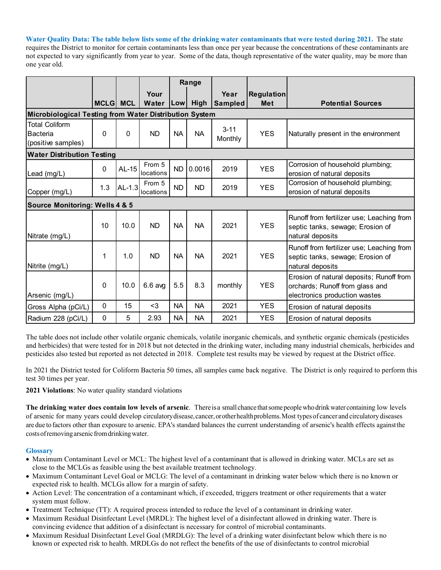**Water Quality Data: The table below lists some of the drinking water contaminants that were tested during 2021.** The state requires the District to monitor for certain contaminants less than once per year because the concentrations of these contaminants are not expected to vary significantly from year to year. Some of the data, though representative of the water quality, may be more than one year old.

|                                                                |              |            |                     | Range      |           |                     |                   |                                                                                                              |  |
|----------------------------------------------------------------|--------------|------------|---------------------|------------|-----------|---------------------|-------------------|--------------------------------------------------------------------------------------------------------------|--|
|                                                                |              |            | Your                |            |           | Year                | <b>Regulation</b> |                                                                                                              |  |
|                                                                | <b>MCLGI</b> | <b>MCL</b> | Water               | <b>Low</b> | High      | <b>Sampled</b>      | <b>Met</b>        | <b>Potential Sources</b>                                                                                     |  |
| Microbiological Testing from Water Distribution System         |              |            |                     |            |           |                     |                   |                                                                                                              |  |
| <b>Total Coliform</b><br><b>Bacteria</b><br>(positive samples) | 0            | $\Omega$   | <b>ND</b>           | <b>NA</b>  | <b>NA</b> | $3 - 11$<br>Monthly | <b>YES</b>        | Naturally present in the environment                                                                         |  |
| <b>Water Distribution Testing</b>                              |              |            |                     |            |           |                     |                   |                                                                                                              |  |
| Lead (mg/L)                                                    | 0            | AL-15      | From 5<br>locations | <b>ND</b>  | 0.0016    | 2019                | <b>YES</b>        | Corrosion of household plumbing;<br>erosion of natural deposits                                              |  |
| Copper (mg/L)                                                  | 1.3          | $AL-1.3$   | From 5<br>locations | <b>ND</b>  | <b>ND</b> | 2019                | <b>YES</b>        | Corrosion of household plumbing;<br>erosion of natural deposits                                              |  |
| <b>Source Monitoring: Wells 4 &amp; 5</b>                      |              |            |                     |            |           |                     |                   |                                                                                                              |  |
| Nitrate (mg/L)                                                 | 10           | 10.0       | <b>ND</b>           | <b>NA</b>  | <b>NA</b> | 2021                | <b>YES</b>        | Runoff from fertilizer use; Leaching from<br>septic tanks, sewage; Erosion of<br>natural deposits            |  |
| Nitrite (mg/L)                                                 | 1            | 1.0        | <b>ND</b>           | <b>NA</b>  | <b>NA</b> | 2021                | <b>YES</b>        | Runoff from fertilizer use; Leaching from<br>septic tanks, sewage; Erosion of<br>natural deposits            |  |
| Arsenic (mg/L)                                                 | 0            | 10.0       | $6.6$ avg           | 5.5        | 8.3       | monthly             | <b>YES</b>        | Erosion of natural deposits; Runoff from<br>orchards; Runoff from glass and<br>electronics production wastes |  |
| Gross Alpha (pCi/L)                                            | 0            | 15         | $3$                 | <b>NA</b>  | <b>NA</b> | 2021                | <b>YES</b>        | Erosion of natural deposits                                                                                  |  |
| Radium 228 (pCi/L)                                             | 0            | 5          | 2.93                | <b>NA</b>  | <b>NA</b> | 2021                | <b>YES</b>        | Erosion of natural deposits                                                                                  |  |

The table does not include other volatile organic chemicals, volatile inorganic chemicals, and synthetic organic chemicals (pesticides and herbicides) that were tested for in 2018 but not detected in the drinking water, including many industrial chemicals, herbicides and pesticides also tested but reported as not detected in 2018. Complete test results may be viewed by request at the District office.

In 2021 the District tested for Coliform Bacteria 50 times, all samples came back negative. The District is only required to perform this test 30 times per year.

**2021 Violations**: No water quality standard violations

**The drinking water does contain low levels of arsenic**. Thereisa small chance thatsomepeoplewhodrinkwater containing low levels of arsenic for many years could develop circulatorydisease,cancer,orotherhealthproblems.Most types of cancer and circulatory diseases are due to factors other than exposure to arsenic. EPA's standard balances the current understanding of arsenic's health effects againstthe costsofremovingarsenic fromdrinkingwater.

# **Glossary**

- Maximum Contaminant Level or MCL: The highest level of a contaminant that is allowed in drinking water. MCLs are set as close to the MCLGs as feasible using the best available treatment technology.
- Maximum Contaminant Level Goal or MCLG: The level of a contaminant in drinking water below which there is no known or expected risk to health. MCLGs allow for a margin of safety.
- Action Level: The concentration of a contaminant which, if exceeded, triggers treatment or other requirements that a water system must follow.
- Treatment Technique (TT): A required process intended to reduce the level of a contaminant in drinking water.
- Maximum Residual Disinfectant Level (MRDL): The highest level of a disinfectant allowed in drinking water. There is convincing evidence that addition of a disinfectant is necessary for control of microbial contaminants.
- Maximum Residual Disinfectant Level Goal (MRDLG): The level of a drinking water disinfectant below which there is no known or expected risk to health. MRDLGs do not reflect the benefits of the use of disinfectants to control microbial